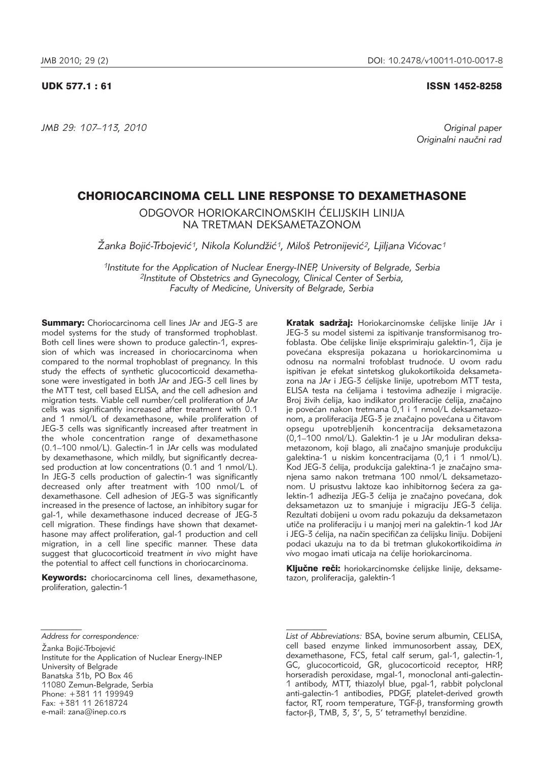*JMB 29: 107–113, 2010 Original paper*

# UDK 577.1 : 61 ISSN 1452-8258

Originalni naučni rad

# CHORIOCARCINOMA CELL LINE RESPONSE TO DEXAMETHASONE

ODGOVOR HORIOKARCINOMSKIH ĆELIJSKIH LINIJA NA TRETMAN DEKSAMETAZONOM

*@anka Boji}-Trbojevi}1, Nikola Kolund`i}1, Milo{ Petronijevi}2, Ljiljana Vi}ovac1*

*1Institute for the Application of Nuclear Energy-INEP, University of Belgrade, Serbia 2Institute of Obstetrics and Gynecology, Clinical Center of Serbia, Faculty of Medicine, University of Belgrade, Serbia*

Summary: Choriocarcinoma cell lines JAr and JEG-3 are model systems for the study of transformed trophoblast. Both cell lines were shown to produce galectin-1, expression of which was increased in choriocarcinoma when compared to the normal trophoblast of pregnancy. In this study the effects of synthetic glucocorticoid dexamethasone were investigated in both JAr and JEG-3 cell lines by the MTT test, cell based ELISA, and the cell adhesion and migration tests. Viable cell number/cell proliferation of JAr cells was significantly increased after treatment with 0.1 and 1 nmol/L of dexamethasone, while proliferation of JEG-3 cells was significantly increased after treatment in the whole concentration range of dexamethasone (0.1–100 nmol/L). Galectin-1 in JAr cells was modulated by dexamethasone, which mildly, but significantly decreased production at low concentrations (0.1 and 1 nmol/L). In JEG-3 cells production of galectin-1 was significantly decreased only after treatment with 100 nmol/L of dexamethasone. Cell adhesion of JEG-3 was significantly increased in the presence of lactose, an inhibitory sugar for gal-1, while dexamethasone induced decrease of JEG-3 cell migration. These findings have shown that dexamethasone may affect proliferation, gal-1 production and cell migration, in a cell line specific manner. These data suggest that glucocorticoid treatment *in vivo* might have the potential to affect cell functions in choriocarcinoma.

Keywords: choriocarcinoma cell lines, dexamethasone, proliferation, galectin-1

Kratak sadržaj: Horiokarcinomske ćelijske linije JAr i JEG-3 su model sistemi za ispitivanje transformisanog trofoblasta. Obe ćelijske linije eksprimiraju galektin-1, čija je povećana ekspresija pokazana u horiokarcinomima u odnosu na normalni trofoblast trudnoće. U ovom radu ispitivan je efekat sintetskog glukokortikoida deksametazona na JAr i JEG-3 ćelijske linije, upotrebom MTT testa, ELISA testa na ćelijama i testovima adhezije i migracije. Broj živih ćelija, kao indikator proliferacije ćelija, značajno je povećan nakon tretmana 0,1 i 1 nmol/L deksametazonom, a proliferacija JEG-3 je značajno povećana u čitavom opsegu upotreblienih koncentracija deksametazona (0,1–100 nmol/L). Galektin-1 je u JAr moduliran deksa metazonom, koji blago, ali značajno smanjuje produkciju galektina-1 u niskim koncentracijama (0,1 i 1 nmol/L). .<br>Kod JEG-3 ćelija, produkcija galektina-1 je značajno smanjena samo nakon tretmana 100 nmol/L deksametazonom. U prisustvu laktoze kao inhibitornog šećera za galektin-1 adhezija JEG-3 ćelija je značajno povećana, dok deksametazon uz to smanjuje i migraciju JEG-3 ćelija. Rezultati dobijeni u ovom radu pokazuju da deksametazon utiče na proliferaciju i u manjoj meri na galektin-1 kod JAr i JEG-3 ćelija, na način specifičan za ćelijsku liniju. Dobijeni podaci ukazuju na to da bi tret man glukokortikoidima *in* vivo mogao imati uticaja na ćelije horiokarcinoma.

Ključne reči: horiokarcinomske ćelijske linije, deksametazon, proliferacija, galektin-1

*Address for correspondence:*

Žanka Bojić-Trbojević Institute for the Application of Nuclear Energy-INEP University of Belgrade Banatska 31b, PO Box 46 11080 Zemun-Belgrade, Serbia Phone: +381 11 199949 Fax: +381 11 2618724 e-mail: zana@inep.co.rs

*List of Abbreviations:* BSA, bovine serum albumin, CELISA, cell based enzyme linked immunosorbent assay, DEX, dexamethasone, FCS, fetal calf serum, gal-1, galectin-1, GC, glucocorticoid, GR, glucocorticoid receptor, HRP, horseradish peroxidase, mgal-1, monoclonal anti-galectin-1 antibody, MTT, thiazolyl blue, pgal-1, rabbit polyclonal anti-galectin-1 antibodies, PDGF, platelet-derived growth factor, RT, room temperature, TGF-b, transforming growth factor- $\beta$ , TMB, 3, 3', 5, 5' tetramethyl benzidine.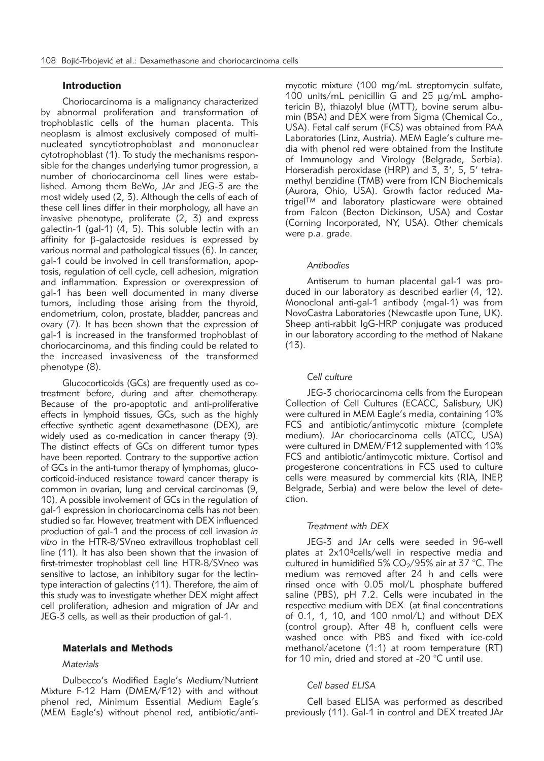## Introduction

Choriocarcinoma is a malignancy characterized by abnormal proliferation and transformation of trophoblastic cells of the human placenta. This neoplasm is almost exclusively composed of multinucleated syncytiotrophoblast and mononuclear cytotrophoblast (1). To study the mechanisms responsible for the changes underlying tumor progression, a number of choriocarcinoma cell lines were established. Among them BeWo, JAr and JEG-3 are the most widely used (2, 3). Although the cells of each of these cell lines differ in their morphology, all have an invasive phenotype, proliferate  $(2, 3)$  and express galectin-1 (gal-1)  $(4, 5)$ . This soluble lectin with an affinity for  $\beta$ -galactoside residues is expressed by various normal and pathological tissues (6). In cancer, gal-1 could be involved in cell transformation, apoptosis, regulation of cell cycle, cell adhesion, migration and inflammation. Expression or overexpression of gal-1 has been well documented in many diverse tumors, including those arising from the thyroid, endometrium, colon, prostate, bladder, pancreas and ovary (7). It has been shown that the expression of gal-1 is increased in the transformed trophoblast of choriocarcinoma, and this finding could be related to the increased invasiveness of the transformed phenotype (8).

Glucocorticoids (GCs) are frequently used as cotreatment before, during and after chemotherapy. Because of the pro-apoptotic and anti-proliferative effects in lymphoid tissues, GCs, such as the highly effective synthetic agent dexamethasone (DEX), are widely used as co-medication in cancer therapy (9). The distinct effects of GCs on different tumor types have been reported. Contrary to the supportive action of GCs in the anti-tumor therapy of lymphomas, glucocorticoid-induced resistance toward cancer therapy is common in ovarian, lung and cervical carcinomas (9, 10). A possible involvement of GCs in the regulation of gal-1 expression in choriocarcinoma cells has not been studied so far. However, treatment with DEX influenced production of gal-1 and the process of cell invasion *in* vitro in the HTR-8/SVneo extravillous trophoblast cell line (11). It has also been shown that the invasion of first-trimester trophoblast cell line HTR-8/SVneo was sensitive to lactose, an inhibitory sugar for the lectintype interaction of galectins (11). Therefore, the aim of this study was to investigate whether DEX might affect cell proliferation, adhesion and migration of JAr and JEG-3 cells, as well as their production of gal-1.

# Materials and Methods

# *Materials*

Dulbecco's Modified Eagle's Medium/Nutrient Mixture F-12 Ham (DMEM/F12) with and without phenol red, Minimum Essential Medium Eagle's (MEM Eagle's) without phenol red, antibiotic/antimycotic mixture (100 mg/mL streptomycin sulfate, 100 units/mL penicillin  $\overline{G}$  and 25  $\mu$ g/mL amphotericin B), thiazolyl blue (MTT), bovine serum albumin (BSA) and DEX were from Sigma (Chemical Co., USA). Fetal calf serum (FCS) was obtained from PAA Laboratories (Linz, Austria). MEM Eagle's culture media with phenol red were obtained from the Institute of Immunology and Virology (Belgrade, Serbia). Horseradish peroxidase (HRP) and 3, 3', 5, 5' tetramethyl benzidine (TMB) were from ICN Biochemicals (Aurora, Ohio, USA). Growth factor reduced Matrigel<sup>TM</sup> and laboratory plasticware were obtained from Falcon (Becton Dickinson, USA) and Costar (Corning Incorporated, NY, USA). Other chemicals were p.a. grade.

#### *Antibodies*

Antiserum to human placental gal-1 was produced in our laboratory as described earlier (4, 12). Monoclonal anti-gal-1 antibody (mgal-1) was from NovoCastra Laboratories (Newcastle upon Tune, UK). Sheep anti-rabbit IgG-HRP conjugate was produced in our laboratory according to the method of Nakane (13).

#### *Cell culture*

JEG-3 choriocarcinoma cells from the European Collection of Cell Cultures (ECACC, Salisbury, UK) were cultured in MEM Eagle's media, containing 10% FCS and antibiotic/antimycotic mixture (complete medium). JAr choriocarcinoma cells (ATCC, USA) were cultured in DMEM/F12 supplemented with 10% FCS and antibiotic/antimycotic mixture. Cortisol and progesterone concentrations in FCS used to culture cells were measured by commercial kits (RIA, INEP, Belgrade, Serbia) and were below the level of detection.

#### *Treatment with DEX*

JEG-3 and JAr cells were seeded in 96-well plates at 2x104cells/well in respective media and cultured in humidified 5%  $CO<sub>2</sub>/95%$  air at 37 °C. The medium was removed after 24 h and cells were rinsed once with 0.05 mol/L phosphate buffered saline (PBS), pH 7.2. Cells were incubated in the respective medium with DEX (at final concentrations of 0.1, 1, 10, and 100 nmol/L) and without DEX (control group). After 48 h, confluent cells were washed once with PBS and fixed with ice-cold methanol/acetone (1:1) at room temperature (RT) for 10 min, dried and stored at -20 °C until use.

# *Cell based ELISA*

Cell based ELISA was performed as described previously (11). Gal-1 in control and DEX treated JAr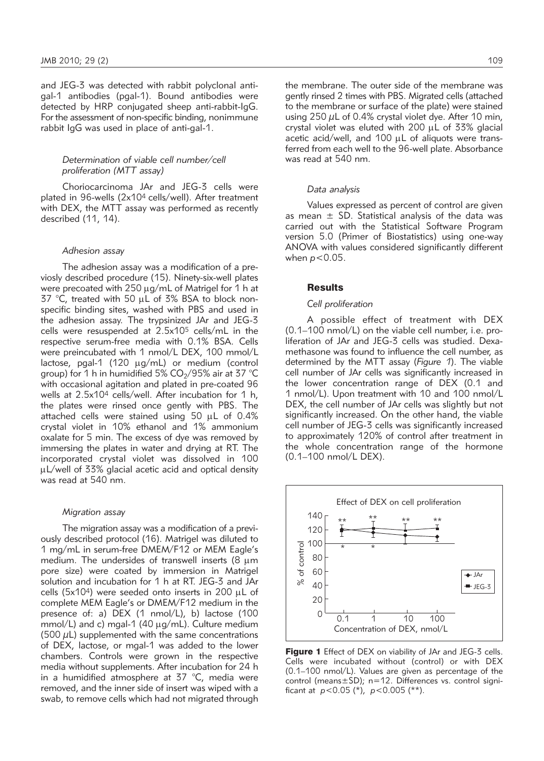and JEG-3 was detected with rabbit polyclonal antigal-1 antibodies (pgal-1). Bound antibodies were detected by HRP conjugated sheep anti-rabbit-IgG. For the assessment of non-specific binding, nonimmune rabbit IgG was used in place of anti-gal-1.

# *Determination of viable cell number/cell proliferation (MTT assay)*

Choriocarcinoma JAr and JEG-3 cells were plated in 96-wells (2x104 cells/well). After treatment with DEX, the MTT assay was performed as recently described (11, 14).

#### *Adhesion assay*

The adhesion assay was a modification of a previosly described procedure (15). Ninety-six-well plates were precoated with  $250 \mu q/mL$  of Matrigel for 1 h at 37 °C, treated with 50  $\mu$ L of 3% BSA to block nonspecific binding sites, washed with PBS and used in the adhesion assay. The trypsinized JAr and JEG-3 cells were resuspended at  $2.5x10^5$  cells/mL in the respective serum-free media with 0.1% BSA. Cells were preincubated with 1 nmol/L DEX, 100 mmol/L lactose, pgal-1  $(120 \text{ µg/mL})$  or medium (control group) for 1 h in humidified 5%  $CO<sub>2</sub>/95%$  air at 37 °C with occasional agitation and plated in pre-coated 96 wells at 2.5x104 cells/well. After incubation for 1 h, the plates were rinsed once gently with PBS. The attached cells were stained using 50 µL of 0.4% crystal violet in 10% ethanol and 1% ammonium oxalate for 5 min. The excess of dye was removed by immersing the plates in water and drying at RT. The incorporated crystal violet was dissolved in 100  $\mu$ L/well of 33% glacial acetic acid and optical density was read at 540 nm.

#### *Migration assay*

The migration assay was a modification of a previously described protocol (16). Matrigel was diluted to 1 mg/mL in serum-free DMEM/F12 or MEM Eagle's medium. The undersides of transwell inserts  $(8 \mu m)$ pore size) were coated by immersion in Matrigel solution and incubation for 1 h at RT. JEG-3 and JAr cells ( $5x104$ ) were seeded onto inserts in 200  $\mu$ L of complete MEM Eagle's or DMEM/F12 medium in the presence of: a) DEX (1 nmol/L), b) lactose (100 mmol/L) and c) mgal-1 (40  $\mu$ g/mL). Culture medium (500  $\mu$ L) supplemented with the same concentrations of DEX, lactose, or mgal-1 was added to the lower chambers. Controls were grown in the respective media without supplements. After incubation for 24 h in a humidified atmosphere at 37 °C, media were removed, and the inner side of insert was wiped with a swab, to remove cells which had not migrated through the membrane. The outer side of the membrane was gently rinsed 2 times with PBS. Migrated cells (attached to the membrane or surface of the plate) were stained using 250 μL of 0.4% crystal violet dye. After 10 min, crystal violet was eluted with 200  $\mu$ L of 33% glacial acetic acid/well, and 100  $\mu$ L of aliquots were transferred from each well to the 96-well plate. Absorbance was read at 540 nm.

#### *Data analysis*

Values expressed as percent of control are given as mean  $\pm$  SD. Statistical analysis of the data was carried out with the Statistical Software Program version 5.0 (Primer of Biostatistics) using one-way ANOVA with values considered significantly different when *p*<0.05.

# **Results**

#### *Cell proliferation*

A possible effect of treatment with DEX  $(0.1–100 \text{ nmol/L})$  on the viable cell number, i.e. proliferation of JAr and JEG-3 cells was studied. Dexamethasone was found to influence the cell number, as determined by the MTT assay (*Figure 1*). The viable cell number of JAr cells was significantly increased in the lower concentration range of DEX (0.1 and 1 nmol/L). Upon treatment with 10 and 100 nmol/L DEX, the cell number of JAr cells was slightly but not significantly increased. On the other hand, the viable cell number of JEG-3 cells was significantly increased to approximately 120% of control after treatment in the whole concentration range of the hormone (0.1–100 nmol/L DEX).



Figure 1 Effect of DEX on viability of JAr and JEG-3 cells. Cells were incubated without (control) or with DEX (0.1–100 nmol/L). Values are given as percentage of the control (means $\pm$ SD); n=12. Differences vs. control significant at *p*<0.05 (\*), *p*<0.005 (\*\*).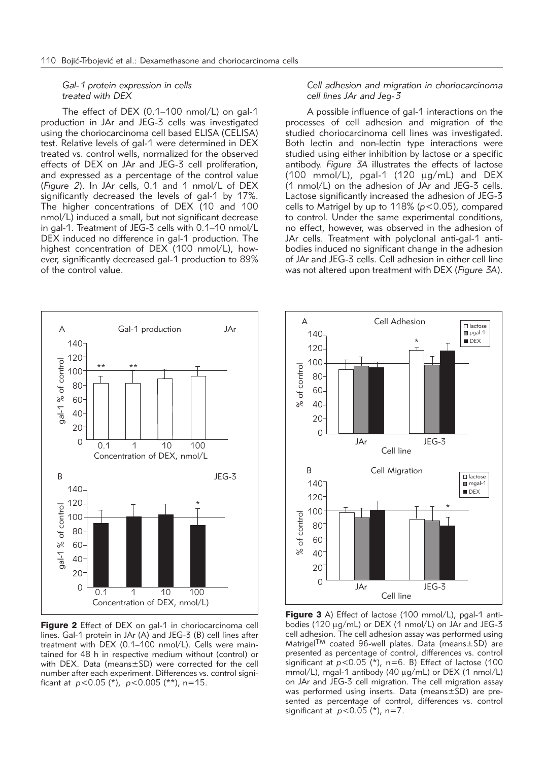# *Gal-1 protein expression in cells treated with DEX*

The effect of DEX (0.1–100 nmol/L) on gal-1 production in JAr and JEG-3 cells was investigated using the choriocarcinoma cell based ELISA (CELISA) test. Relative levels of gal-1 were determined in DEX treated vs. control wells, normalized for the observed effects of DEX on JAr and JEG-3 cell proliferation, and expressed as a percentage of the control value (*Figure 2*). In JAr cells, 0.1 and 1 nmol/L of DEX significantly decreased the levels of gal-1 by 17%. The higher concentrations of DEX (10 and 100 nmol/L) induced a small, but not significant decrease in gal-1. Treatment of JEG-3 cells with 0.1–10 nmol/L DEX induced no difference in gal-1 production. The highest concentration of DEX (100 nmol/L), however, significantly decreased gal-1 production to 89% of the control value.



Figure 2 Effect of DEX on gal-1 in choriocarcinoma cell lines. Gal-1 protein in JAr (A) and JEG-3 (B) cell lines after treatment with DEX (0.1-100 nmol/L). Cells were maintained for 48 h in respective medium without (control) or with DEX. Data (means±SD) were corrected for the cell number after each experiment. Differences vs. control significant at *p*<0.05 (\*), *p*<0.005 (\*\*), n=15.

# *Cell adhesion and migration in choriocarcinoma cell lines JAr and Jeg-3*

A possible influence of gal-1 interactions on the processes of cell adhesion and migration of the studied choriocarcinoma cell lines was investigated. Both lectin and non-lectin type interactions were studied using either inhibition by lactose or a specific antibody. *Figure 3A* illustrates the effects of lactose (100 mmol/L), pgal-1 (120  $\mu$ g/mL) and DEX (1 nmol/L) on the adhesion of JAr and JEG-3 cells. Lactose significantly increased the adhesion of JEG-3 cells to Matrigel by up to 118% (*p*<0.05), compared to control. Under the same experimental conditions, no effect, however, was observed in the adhesion of JAr cells. Treatment with polyclonal anti-gal-1 antibodies induced no significant change in the adhesion of JAr and JEG-3 cells. Cell adhesion in either cell line was not altered upon treatment with DEX (*Figure 3A*).



Figure 3 A) Effect of lactose (100 mmol/L), pgal-1 antibodies (120  $\mu$ g/mL) or DEX (1 nmol/L) on JAr and JEG-3 cell adhesion. The cell adhesion assay was performed using MatrigelTM coated 96-well plates. Data (means±SD) are presented as percentage of control, differences vs. control significant at *p*<0.05 (\*), n=6. B) Effect of lactose (100 mmol/L), mgal-1 antibody (40  $\mu$ g/mL) or DEX (1 nmol/L) on JAr and JEG-3 cell migration. The cell migration assay was performed using inserts. Data (means $\pm$ SD) are presented as percentage of control, differences vs. control significant at  $p < 0.05$  (\*), n=7.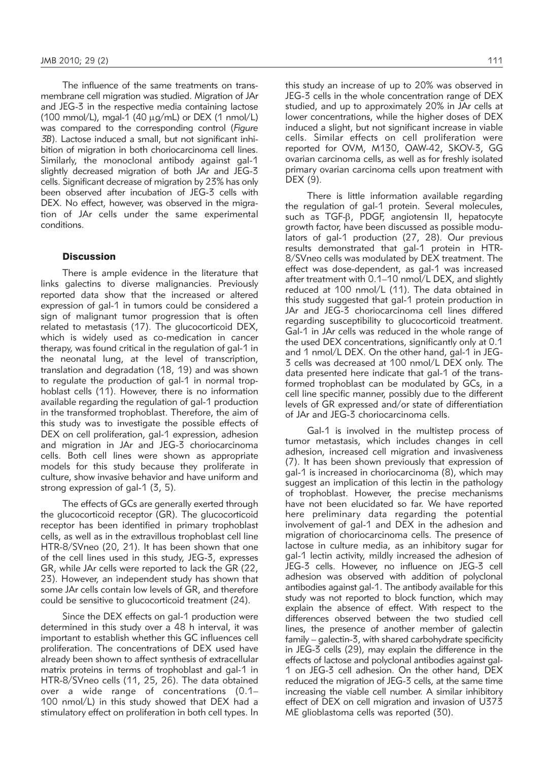The influence of the same treatments on transmembrane cell migration was studied. Migration of JAr and JEG-3 in the respective media containing lactose (100 mmol/L), mgal-1 (40  $\mu$ g/mL) or DEX (1 nmol/L) was compared to the corresponding control (*Figure* 3B). Lactose induced a small, but not significant inhibition of migration in both choriocarcinoma cell lines. Similarly, the monoclonal antibody against gal-1 slightly decreased migration of both JAr and JEG-3 cells. Significant decrease of migration by 23% has only been observed after incubation of JEG-3 cells with DEX. No effect, however, was observed in the migration of JAr cells under the same experimental conditions.

#### **Discussion**

There is ample evidence in the literature that links galectins to diverse malignancies. Previously reported data show that the increased or altered expression of gal-1 in tumors could be considered a sign of malignant tumor progression that is often related to metastasis (17). The glucocorticoid DEX, which is widely used as co-medication in cancer therapy, was found critical in the regulation of gal-1 in the neonatal lung, at the level of transcription, translation and degradation (18, 19) and was shown to regulate the production of gal-1 in normal trophoblast cells (11). However, there is no information available regarding the regulation of gal-1 production in the transformed trophoblast. Therefore, the aim of this study was to investigate the possible effects of DEX on cell proliferation, gal-1 expression, adhesion and migration in JAr and JEG-3 choriocarcinoma cells. Both cell lines were shown as appropriate models for this study because they proliferate in culture, show invasive behavior and have uniform and strong expression of gal-1 (3, 5).

The effects of GCs are generally exerted through the glucocorticoid receptor (GR). The glucocorticoid receptor has been identified in primary trophoblast cells, as well as in the extravillous trophoblast cell line HTR-8/SVneo (20, 21). It has been shown that one of the cell lines used in this study, JEG-3, expresses GR, while JAr cells were reported to lack the GR (22, 23). However, an independent study has shown that some JAr cells contain low levels of GR, and therefore could be sensitive to glucocorticoid treatment (24).

Since the DEX effects on gal-1 production were determined in this study over a 48 h interval, it was important to establish whether this GC influences cell proliferation. The concentrations of DEX used have already been shown to affect synthesis of extracellular matrix proteins in terms of trophoblast and gal-1 in HTR-8/SVneo cells (11, 25, 26). The data obtained over a wide range of concentrations (0.1– 100 nmol/L) in this study showed that DEX had a stimulatory effect on proliferation in both cell types. In

this study an increase of up to 20% was observed in JEG-3 cells in the whole concentration range of DEX studied, and up to approximately 20% in JAr cells at lower concentrations, while the higher doses of DEX induced a slight, but not significant increase in viable cells. Similar effects on cell proliferation were reported for OVM, M130, OAW-42, SKOV-3, GG ovarian carcinoma cells, as well as for freshly isolated primary ovarian carcinoma cells upon treatment with DEX (9).

There is little information available regarding the regulation of gal-1 protein. Several molecules, such as TGF-b, PDGF, angiotensin II, hepatocyte growth factor, have been discussed as possible modu lators of gal-1 production (27, 28). Our previous results demonstrated that gal-1 protein in HTR-8/SVneo cells was modulated by DEX treatment. The effect was dose-dependent, as gal-1 was increased after treatment with 0.1–10 nmol/L DEX, and slightly reduced at 100 nmol/L (11). The data obtained in this study suggested that gal-1 protein production in JAr and JEG-3 choriocarcinoma cell lines differed regarding susceptibility to glucocorticoid treatment. Gal-1 in JAr cells was reduced in the whole range of the used DEX concentrations, significantly only at 0.1 and 1 nmol/L DEX. On the other hand, gal-1 in JEG-3 cells was decreased at 100 nmol/L DEX only. The data presented here indicate that gal-1 of the transformed trophoblast can be modulated by GCs, in a cell line specific manner, possibly due to the different levels of GR expressed and/or state of differentiation of JAr and JEG-3 choriocarcinoma cells.

Gal-1 is involved in the multistep process of tumor metastasis, which includes changes in cell adhesion, increased cell migration and invasiveness (7). It has been shown previously that expression of gal-1 is increased in choriocarcinoma (8), which may suggest an implication of this lectin in the pathology of trophoblast. However, the precise mechanisms have not been elucidated so far. We have reported here preliminary data regarding the potential involvement of gal-1 and DEX in the adhesion and migration of choriocarcinoma cells. The presence of lactose in culture media, as an inhibitory sugar for gal-1 lectin activity, mildly increased the adhesion of JEG-3 cells. However, no influence on JEG-3 cell adhesion was observed with addition of polyclonal antibodies against gal-1. The antibody available for this study was not reported to block function, which may explain the absence of effect. With respect to the differences observed between the two studied cell lines, the presence of another member of galectin family – galectin-3, with shared carbohydrate specificity in JEG-3 cells (29), may explain the difference in the effects of lactose and polyclonal antibodies against gal-1 on JEG-3 cell adhesion. On the other hand, DEX reduced the migration of JEG-3 cells, at the same time increasing the viable cell number. A similar inhibitory effect of DEX on cell migration and invasion of U373 ME glioblastoma cells was reported (30).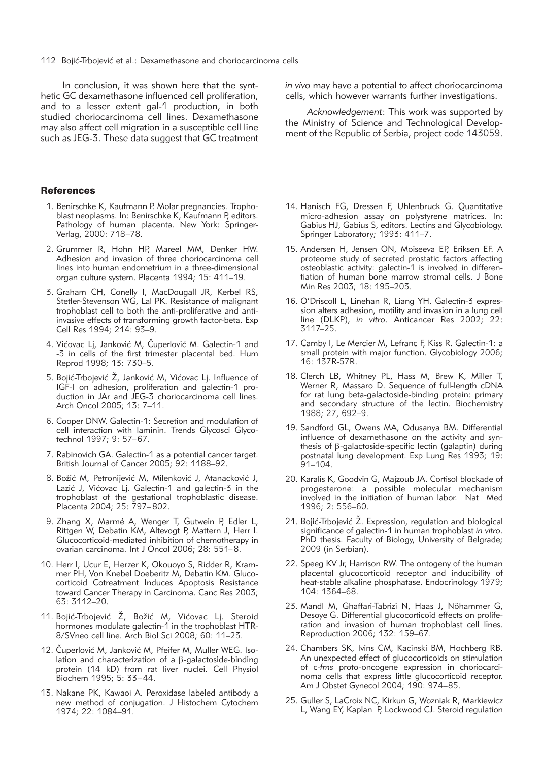In conclusion, it was shown here that the synthetic GC dexamethasone influenced cell proliferation, and to a lesser extent gal-1 production, in both studied choriocarcinoma cell lines. Dexamethasone may also affect cell migration in a susceptible cell line such as JEG-3. These data suggest that GC treatment

#### **References**

- 1. Benirschke K, Kaufmann P. Molar pregnancies. Tropho blast neoplasms. In: Benirschke K, Kaufmann P, editors. Pathology of human placenta. New York: Springer-Verlag, 2000: 718–78.
- 2. Grummer R, Hohn HP, Mareel MM, Denker HW. Adhesion and invasion of three choriocarcinoma cell lines into human endometrium in a three-dimensional organ culture system. Placenta 1994; 15: 411–19.
- 3. Graham CH, Conelly I, MacDougall JR, Kerbel RS, Stetler-Stevenson WG, Lal PK. Resistance of malignant trophoblast cell to both the anti-proliferative and antiinvasive effects of transforming growth factor-beta. Exp Cell Res 1994; 214: 93–9.
- 4. Vićovac Lj, Janković M, Čuperlović M. Galectin-1 and -3 in cells of the first trimester placental bed. Hum Reprod 1998; 13: 730–5.
- 5. Bojić-Trbojević Ž, Janković M, Vićovac Lj. Influence of IGF-I on adhesion, proliferation and galectin-1 production in JAr and JEG-3 choriocarcinoma cell lines. Arch Oncol 2005; 13: 7–11.
- 6. Cooper DNW. Galectin-1: Secretion and modulation of cell interaction with laminin. Trends Glycosci Glycotechnol 1997; 9: 57–67.
- 7. Rabinovich GA. Galectin-1 as a potential cancer target. British Journal of Cancer 2005; 92: 1188–92.
- 8. Božić M, Petronijević M, Milenković J, Atanacković J, Lazić J, Vićovac Lj. Galectin-1 and galectin-3 in the trophoblast of the gestational trophoblastic disease. Placenta 2004; 25: 797–802.
- 9. Zhang X, Marmé A, Wenger T, Gutwein P, Edler L, Rittgen W, Debatin KM, Altevogt P, Mattern J, Herr I. Glucocorticoid-mediated inhibition of chemotherapy in ovarian carcinoma. Int J Oncol 2006; 28: 551–8.
- 10. Herr I, Ucur E, Herzer K, Okouoyo S, Ridder R, Krammer PH, Von Knebel Doeberitz M, Debatin KM. Glucocorticoid Cotreatment Induces Apoptosis Resistance toward Cancer Therapy in Carcinoma. Canc Res 2003; 63: 3112–20.
- 11. Bojić-Trbojević Ž, Božić M, Vićovac Lj. Steroid hormones modulate galectin-1 in the trophoblast HTR-8/SVneo cell line. Arch Biol Sci 2008; 60: 11–23.
- 12. Cuperlović M, Janković M, Pfeifer M, Muller WEG. Isolation and characterization of a  $\beta$ -galactoside-binding protein (14 kD) from rat liver nuclei. Cell Physiol Biochem 1995; 5: 33–44.
- 13. Nakane PK, Kawaoi A. Peroxidase labeled antibody a new method of conjugation. J Histochem Cytochem 1974; 22: 1084–91.

*in vivo* may have a potential to affect choriocarcinoma cells, which however warrants further investigations.

*Acknowledgement*: This work was supported by the Ministry of Science and Technological Development of the Republic of Serbia, project code 143059.

- 14. Hanisch FG, Dressen F, Uhlenbruck G. Quantitative micro-adhesion assay on polystyrene matrices. In: Gabius HJ, Gabius S, editors. Lectins and Glycobiology. Springer Laboratory; 1993: 411–7.
- 15. Andersen H, Jensen ON, Moiseeva EP, Eriksen EF. A proteome study of secreted prostatic factors affecting osteoblastic activity: galectin-1 is involved in differentiation of human bone marrow stromal cells. J Bone Min Res 2003; 18: 195–203.
- 16. O'Driscoll L, Linehan R, Liang YH. Galectin-3 expression alters adhesion, motility and invasion in a lung cell line (DLKP), *in vitro*. Anticancer Res 2002; 22: 3117–25.
- 17. Camby I, Le Mercier M, Lefranc F, Kiss R. Galectin-1: a small protein with major function. Glycobiology 2006; 16: 137R-57R.
- 18. Clerch LB, Whitney PL, Hass M, Brew K, Miller T, Werner R, Massaro D. Sequence of full-length cDNA for rat lung beta-galactoside-binding protein: primary and secondary structure of the lectin. Biochemistry 1988; 27, 692–9.
- 19. Sandford GL, Owens MA, Odusanya BM. Differential influence of dexamethasone on the activity and synthesis of  $\beta$ -galactoside-specific lectin (galaptin) during postnatal lung development. Exp Lung Res 1993; 19: 91–104.
- 20. Karalis K, Goodvin G, Majzoub JA. Cortisol blockade of progesterone: a possible molecular mechanism involved in the initiation of human labor. Nat Med 1996; 2: 556–60.
- 21. Bojić-Trbojević Z. Expression, regulation and biological significance of galectin-1 in human trophoblast *in vitro*. PhD thesis. Faculty of Biology, University of Belgrade; 2009 (in Serbian).
- 22. Speeg KV Jr, Harrison RW. The ontogeny of the human placental glucocorticoid receptor and inducibility of heat-stable alkaline phosphatase. Endocrinology 1979; 104: 1364–68.
- 23. Mandl M, Ghaffari-Tabrizi N, Haas J, Nöhammer G, Desoye G. Differential glucocorticoid effects on proliferation and invasion of human trophoblast cell lines. Reproduction 2006; 132: 159–67.
- 24. Chambers SK, Ivins CM, Kacinski BM, Hochberg RB. An unexpected effect of glucocorticoids on stimulation of c-*fms* proto-oncogene expression in choriocarci noma cells that express little glucocorticoid receptor. Am J Obstet Gynecol 2004; 190: 974–85.
- 25. Guller S, LaCroix NC, Kirkun G, Wozniak R, Markiewicz L, Wang EY, Kaplan P, Lockwood CJ. Steroid regulation